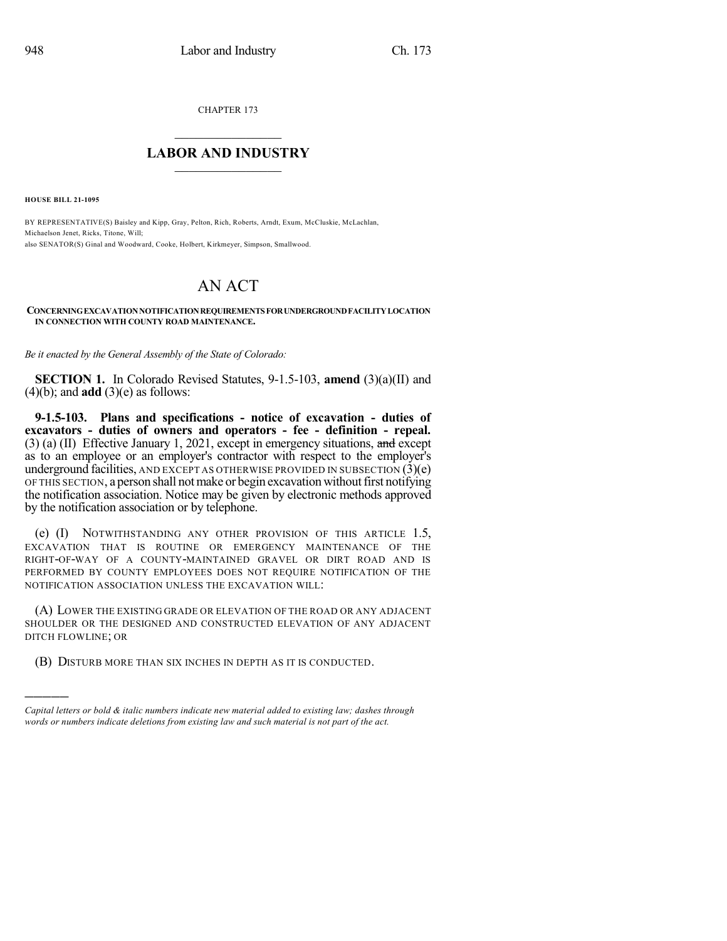CHAPTER 173

## $\overline{\phantom{a}}$  . The set of the set of the set of the set of the set of the set of the set of the set of the set of the set of the set of the set of the set of the set of the set of the set of the set of the set of the set o **LABOR AND INDUSTRY**  $\frac{1}{\sqrt{2}}$  ,  $\frac{1}{\sqrt{2}}$  ,  $\frac{1}{\sqrt{2}}$  ,  $\frac{1}{\sqrt{2}}$  ,  $\frac{1}{\sqrt{2}}$  ,  $\frac{1}{\sqrt{2}}$

**HOUSE BILL 21-1095**

)))))

BY REPRESENTATIVE(S) Baisley and Kipp, Gray, Pelton, Rich, Roberts, Arndt, Exum, McCluskie, McLachlan, Michaelson Jenet, Ricks, Titone, Will; also SENATOR(S) Ginal and Woodward, Cooke, Holbert, Kirkmeyer, Simpson, Smallwood.

## AN ACT

**CONCERNINGEXCAVATIONNOTIFICATIONREQUIREMENTSFORUNDERGROUNDFACILITYLOCATION IN CONNECTION WITH COUNTY ROAD MAINTENANCE.**

*Be it enacted by the General Assembly of the State of Colorado:*

**SECTION 1.** In Colorado Revised Statutes, 9-1.5-103, **amend** (3)(a)(II) and  $(4)(b)$ ; and **add**  $(3)(e)$  as follows:

**9-1.5-103. Plans and specifications - notice of excavation - duties of excavators - duties of owners and operators - fee - definition - repeal.** (3) (a) (II) Effective January 1, 2021, except in emergency situations, and except as to an employee or an employer's contractor with respect to the employer's underground facilities, AND EXCEPT AS OTHERWISE PROVIDED IN SUBSECTION  $(3)(e)$ OF THIS SECTION, a person shall notmake or begin excavation withoutfirst notifying the notification association. Notice may be given by electronic methods approved by the notification association or by telephone.

(e) (I) NOTWITHSTANDING ANY OTHER PROVISION OF THIS ARTICLE 1.5, EXCAVATION THAT IS ROUTINE OR EMERGENCY MAINTENANCE OF THE RIGHT-OF-WAY OF A COUNTY-MAINTAINED GRAVEL OR DIRT ROAD AND IS PERFORMED BY COUNTY EMPLOYEES DOES NOT REQUIRE NOTIFICATION OF THE NOTIFICATION ASSOCIATION UNLESS THE EXCAVATION WILL:

(A) LOWER THE EXISTING GRADE OR ELEVATION OF THE ROAD OR ANY ADJACENT SHOULDER OR THE DESIGNED AND CONSTRUCTED ELEVATION OF ANY ADJACENT DITCH FLOWLINE; OR

(B) DISTURB MORE THAN SIX INCHES IN DEPTH AS IT IS CONDUCTED.

*Capital letters or bold & italic numbers indicate new material added to existing law; dashes through words or numbers indicate deletions from existing law and such material is not part of the act.*